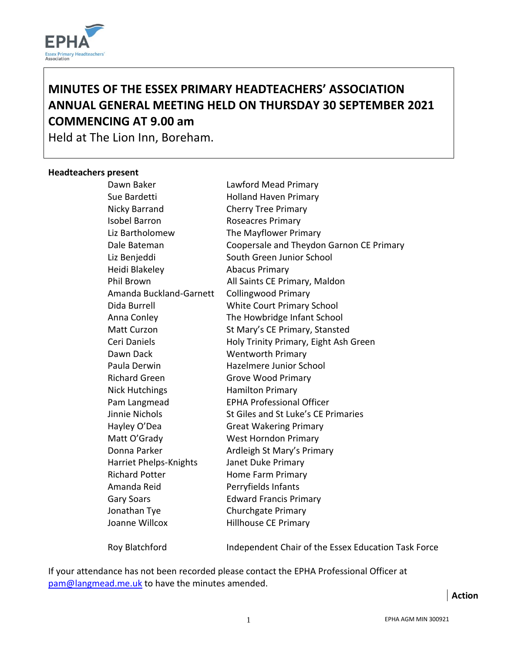

# **MINUTES OF THE ESSEX PRIMARY HEADTEACHERS' ASSOCIATION ANNUAL GENERAL MEETING HELD ON THURSDAY 30 SEPTEMBER 2021 COMMENCING AT 9.00 am**

Held at The Lion Inn, Boreham.

#### **Headteachers present**

| Dawn Baker              | Lawford Mead Primary                                |
|-------------------------|-----------------------------------------------------|
| Sue Bardetti            | <b>Holland Haven Primary</b>                        |
| Nicky Barrand           | <b>Cherry Tree Primary</b>                          |
| <b>Isobel Barron</b>    | Roseacres Primary                                   |
| Liz Bartholomew         | The Mayflower Primary                               |
| Dale Bateman            | Coopersale and Theydon Garnon CE Primary            |
| Liz Benjeddi            | South Green Junior School                           |
| Heidi Blakeley          | <b>Abacus Primary</b>                               |
| <b>Phil Brown</b>       | All Saints CE Primary, Maldon                       |
| Amanda Buckland-Garnett | <b>Collingwood Primary</b>                          |
| Dida Burrell            | White Court Primary School                          |
| Anna Conley             | The Howbridge Infant School                         |
| <b>Matt Curzon</b>      | St Mary's CE Primary, Stansted                      |
| Ceri Daniels            | Holy Trinity Primary, Eight Ash Green               |
| Dawn Dack               | <b>Wentworth Primary</b>                            |
| Paula Derwin            | Hazelmere Junior School                             |
| <b>Richard Green</b>    | <b>Grove Wood Primary</b>                           |
| <b>Nick Hutchings</b>   | <b>Hamilton Primary</b>                             |
| Pam Langmead            | <b>EPHA Professional Officer</b>                    |
| Jinnie Nichols          | St Giles and St Luke's CE Primaries                 |
| Hayley O'Dea            | <b>Great Wakering Primary</b>                       |
| Matt O'Grady            | <b>West Horndon Primary</b>                         |
| Donna Parker            | Ardleigh St Mary's Primary                          |
| Harriet Phelps-Knights  | Janet Duke Primary                                  |
| <b>Richard Potter</b>   | Home Farm Primary                                   |
| Amanda Reid             | Perryfields Infants                                 |
| <b>Gary Soars</b>       | <b>Edward Francis Primary</b>                       |
| Jonathan Tye            | <b>Churchgate Primary</b>                           |
| Joanne Willcox          | <b>Hillhouse CE Primary</b>                         |
| Roy Blatchford          | Independent Chair of the Essex Education Task Force |

If your attendance has not been recorded please contact the EPHA Professional Officer at [pam@langmead.me.uk](mailto:pam@langmead.me.uk) to have the minutes amended.

**Action**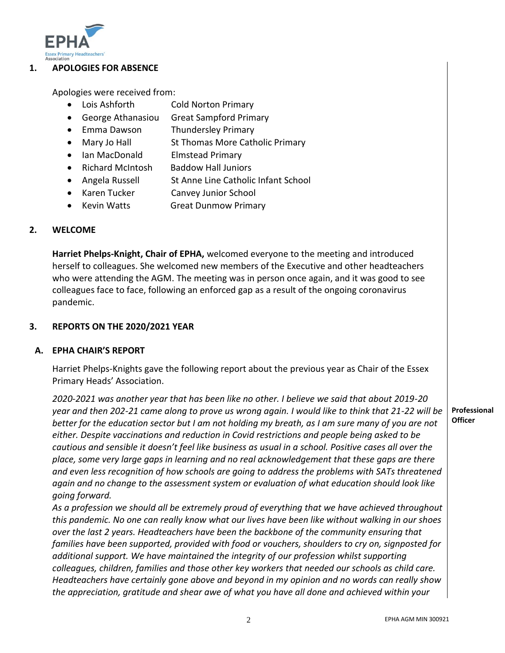

#### **1. APOLOGIES FOR ABSENCE**

Apologies were received from:

- Lois Ashforth Cold Norton Primary
- George Athanasiou Great Sampford Primary
- Emma Dawson Thundersley Primary
- Mary Jo Hall St Thomas More Catholic Primary
- Ian MacDonald Elmstead Primary
- Richard McIntosh Baddow Hall Juniors
- Angela Russell St Anne Line Catholic Infant School
- Karen Tucker Canvey Junior School
- Kevin Watts Great Dunmow Primary

#### **2. WELCOME**

**Harriet Phelps-Knight, Chair of EPHA,** welcomed everyone to the meeting and introduced herself to colleagues. She welcomed new members of the Executive and other headteachers who were attending the AGM. The meeting was in person once again, and it was good to see colleagues face to face, following an enforced gap as a result of the ongoing coronavirus pandemic.

#### **3. REPORTS ON THE 2020/2021 YEAR**

#### **A. EPHA CHAIR'S REPORT**

Harriet Phelps-Knights gave the following report about the previous year as Chair of the Essex Primary Heads' Association.

*2020-2021 was another year that has been like no other. I believe we said that about 2019-20 year and then 202-21 came along to prove us wrong again. I would like to think that 21-22 will be better for the education sector but I am not holding my breath, as I am sure many of you are not either. Despite vaccinations and reduction in Covid restrictions and people being asked to be cautious and sensible it doesn't feel like business as usual in a school. Positive cases all over the place, some very large gaps in learning and no real acknowledgement that these gaps are there and even less recognition of how schools are going to address the problems with SATs threatened again and no change to the assessment system or evaluation of what education should look like going forward.*

*As a profession we should all be extremely proud of everything that we have achieved throughout this pandemic. No one can really know what our lives have been like without walking in our shoes over the last 2 years. Headteachers have been the backbone of the community ensuring that families have been supported, provided with food or vouchers, shoulders to cry on, signposted for additional support. We have maintained the integrity of our profession whilst supporting colleagues, children, families and those other key workers that needed our schools as child care. Headteachers have certainly gone above and beyond in my opinion and no words can really show the appreciation, gratitude and shear awe of what you have all done and achieved within your* 

#### **Professional Officer**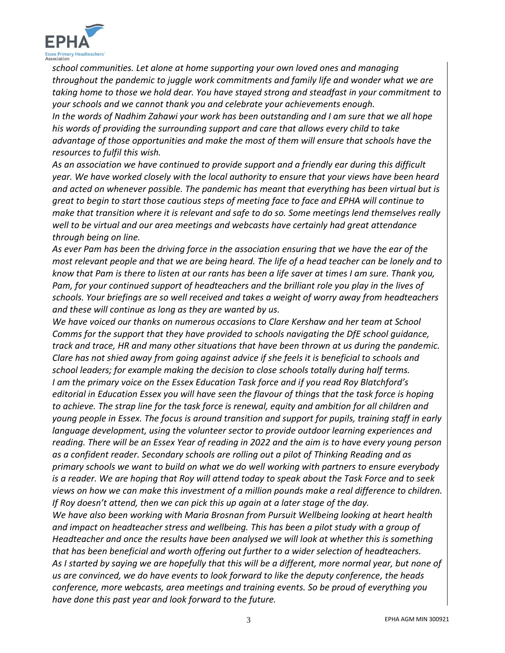

*school communities. Let alone at home supporting your own loved ones and managing throughout the pandemic to juggle work commitments and family life and wonder what we are taking home to those we hold dear. You have stayed strong and steadfast in your commitment to your schools and we cannot thank you and celebrate your achievements enough. In the words of Nadhim Zahawi your work has been outstanding and I am sure that we all hope his words of providing the surrounding support and care that allows every child to take advantage of those opportunities and make the most of them will ensure that schools have the resources to fulfil this wish.* 

*As an association we have continued to provide support and a friendly ear during this difficult year. We have worked closely with the local authority to ensure that your views have been heard and acted on whenever possible. The pandemic has meant that everything has been virtual but is great to begin to start those cautious steps of meeting face to face and EPHA will continue to make that transition where it is relevant and safe to do so. Some meetings lend themselves really well to be virtual and our area meetings and webcasts have certainly had great attendance through being on line.* 

*As ever Pam has been the driving force in the association ensuring that we have the ear of the most relevant people and that we are being heard. The life of a head teacher can be lonely and to know that Pam is there to listen at our rants has been a life saver at times I am sure. Thank you, Pam, for your continued support of headteachers and the brilliant role you play in the lives of schools. Your briefings are so well received and takes a weight of worry away from headteachers and these will continue as long as they are wanted by us.*

*We have voiced our thanks on numerous occasions to Clare Kershaw and her team at School Comms for the support that they have provided to schools navigating the DfE school guidance, track and trace, HR and many other situations that have been thrown at us during the pandemic. Clare has not shied away from going against advice if she feels it is beneficial to schools and school leaders; for example making the decision to close schools totally during half terms. I am the primary voice on the Essex Education Task force and if you read Roy Blatchford's editorial in Education Essex you will have seen the flavour of things that the task force is hoping to achieve. The strap line for the task force is renewal, equity and ambition for all children and young people in Essex. The focus is around transition and support for pupils, training staff in early language development, using the volunteer sector to provide outdoor learning experiences and reading. There will be an Essex Year of reading in 2022 and the aim is to have every young person as a confident reader. Secondary schools are rolling out a pilot of Thinking Reading and as primary schools we want to build on what we do well working with partners to ensure everybody is a reader. We are hoping that Roy will attend today to speak about the Task Force and to seek views on how we can make this investment of a million pounds make a real difference to children. If Roy doesn't attend, then we can pick this up again at a later stage of the day.*

*We have also been working with Maria Brosnan from Pursuit Wellbeing looking at heart health and impact on headteacher stress and wellbeing. This has been a pilot study with a group of Headteacher and once the results have been analysed we will look at whether this is something that has been beneficial and worth offering out further to a wider selection of headteachers. As I started by saying we are hopefully that this will be a different, more normal year, but none of us are convinced, we do have events to look forward to like the deputy conference, the heads conference, more webcasts, area meetings and training events. So be proud of everything you have done this past year and look forward to the future.*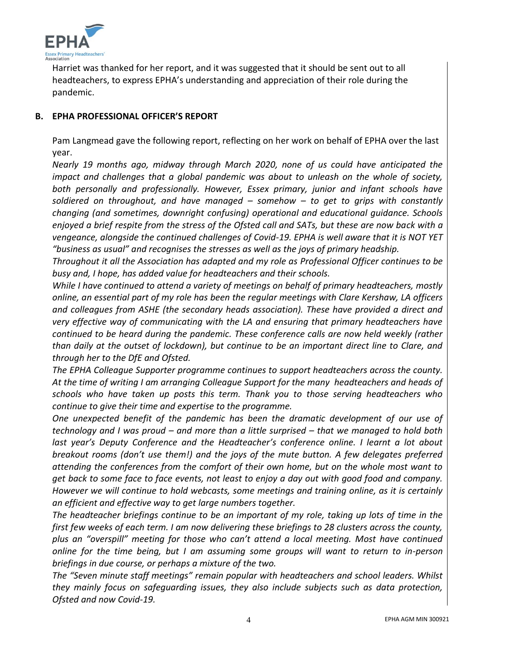

Harriet was thanked for her report, and it was suggested that it should be sent out to all headteachers, to express EPHA's understanding and appreciation of their role during the pandemic.

# **B. EPHA PROFESSIONAL OFFICER'S REPORT**

Pam Langmead gave the following report, reflecting on her work on behalf of EPHA over the last year.

*Nearly 19 months ago, midway through March 2020, none of us could have anticipated the impact and challenges that a global pandemic was about to unleash on the whole of society, both personally and professionally. However, Essex primary, junior and infant schools have soldiered on throughout, and have managed – somehow – to get to grips with constantly changing (and sometimes, downright confusing) operational and educational guidance. Schools enjoyed a brief respite from the stress of the Ofsted call and SATs, but these are now back with a vengeance, alongside the continued challenges of Covid-19. EPHA is well aware that it is NOT YET "business as usual" and recognises the stresses as well as the joys of primary headship.*

*Throughout it all the Association has adapted and my role as Professional Officer continues to be busy and, I hope, has added value for headteachers and their schools.*

*While I have continued to attend a variety of meetings on behalf of primary headteachers, mostly online, an essential part of my role has been the regular meetings with Clare Kershaw, LA officers and colleagues from ASHE (the secondary heads association). These have provided a direct and very effective way of communicating with the LA and ensuring that primary headteachers have continued to be heard during the pandemic. These conference calls are now held weekly (rather than daily at the outset of lockdown), but continue to be an important direct line to Clare, and through her to the DfE and Ofsted.* 

*The EPHA Colleague Supporter programme continues to support headteachers across the county. At the time of writing I am arranging Colleague Support for the many headteachers and heads of schools who have taken up posts this term. Thank you to those serving headteachers who continue to give their time and expertise to the programme.*

*One unexpected benefit of the pandemic has been the dramatic development of our use of technology and I was proud – and more than a little surprised – that we managed to hold both*  last year's Deputy Conference and the Headteacher's conference online. I learnt a lot about *breakout rooms (don't use them!) and the joys of the mute button. A few delegates preferred attending the conferences from the comfort of their own home, but on the whole most want to get back to some face to face events, not least to enjoy a day out with good food and company. However we will continue to hold webcasts, some meetings and training online, as it is certainly an efficient and effective way to get large numbers together.*

*The headteacher briefings continue to be an important of my role, taking up lots of time in the first few weeks of each term. I am now delivering these briefings to 28 clusters across the county, plus an "overspill" meeting for those who can't attend a local meeting. Most have continued online for the time being, but I am assuming some groups will want to return to in-person briefings in due course, or perhaps a mixture of the two.* 

*The "Seven minute staff meetings" remain popular with headteachers and school leaders. Whilst they mainly focus on safeguarding issues, they also include subjects such as data protection, Ofsted and now Covid-19.*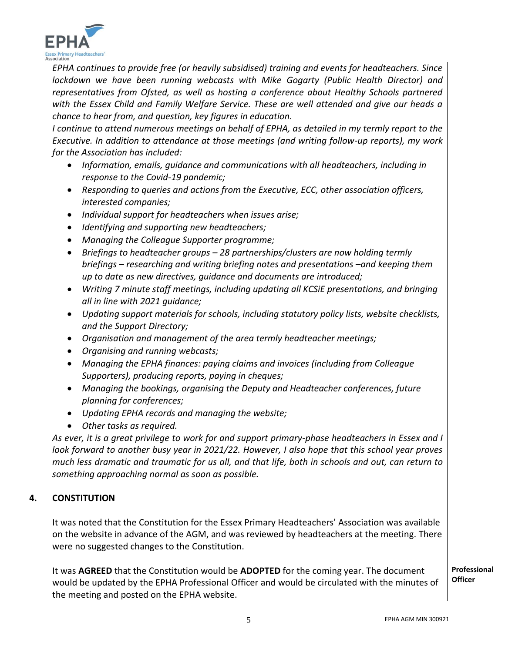

*EPHA continues to provide free (or heavily subsidised) training and events for headteachers. Since lockdown we have been running webcasts with Mike Gogarty (Public Health Director) and representatives from Ofsted, as well as hosting a conference about Healthy Schools partnered with the Essex Child and Family Welfare Service. These are well attended and give our heads a chance to hear from, and question, key figures in education.* 

*I* continue to attend numerous meetings on behalf of EPHA, as detailed in my termly report to the *Executive. In addition to attendance at those meetings (and writing follow-up reports), my work for the Association has included:*

- *Information, emails, guidance and communications with all headteachers, including in response to the Covid-19 pandemic;*
- *Responding to queries and actions from the Executive, ECC, other association officers, interested companies;*
- *Individual support for headteachers when issues arise;*
- *Identifying and supporting new headteachers;*
- *Managing the Colleague Supporter programme;*
- *Briefings to headteacher groups – 28 partnerships/clusters are now holding termly briefings – researching and writing briefing notes and presentations –and keeping them up to date as new directives, guidance and documents are introduced;*
- *Writing 7 minute staff meetings, including updating all KCSiE presentations, and bringing all in line with 2021 guidance;*
- *Updating support materials for schools, including statutory policy lists, website checklists, and the Support Directory;*
- *Organisation and management of the area termly headteacher meetings;*
- *Organising and running webcasts;*
- *Managing the EPHA finances: paying claims and invoices (including from Colleague Supporters), producing reports, paying in cheques;*
- *Managing the bookings, organising the Deputy and Headteacher conferences, future planning for conferences;*
- *Updating EPHA records and managing the website;*
- *Other tasks as required.*

*As ever, it is a great privilege to work for and support primary-phase headteachers in Essex and I look forward to another busy year in 2021/22. However, I also hope that this school year proves much less dramatic and traumatic for us all, and that life, both in schools and out, can return to something approaching normal as soon as possible.* 

# **4. CONSTITUTION**

It was noted that the Constitution for the Essex Primary Headteachers' Association was available on the website in advance of the AGM, and was reviewed by headteachers at the meeting. There were no suggested changes to the Constitution.

It was **AGREED** that the Constitution would be **ADOPTED** for the coming year. The document would be updated by the EPHA Professional Officer and would be circulated with the minutes of the meeting and posted on the EPHA website.

**Professional Officer**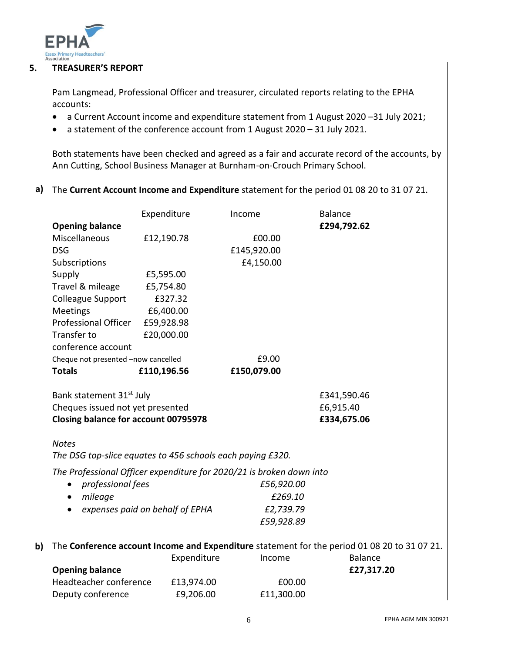

**b)**

#### **5. TREASURER'S REPORT**

Pam Langmead, Professional Officer and treasurer, circulated reports relating to the EPHA accounts:

- a Current Account income and expenditure statement from 1 August 2020 –31 July 2021;
- a statement of the conference account from 1 August 2020 31 July 2021.

Both statements have been checked and agreed as a fair and accurate record of the accounts, by Ann Cutting, School Business Manager at Burnham-on-Crouch Primary School.

**a)** The **Current Account Income and Expenditure** statement for the period 01 08 20 to 31 07 21.

| Expenditure                                                                                  |  |  |  |  |
|----------------------------------------------------------------------------------------------|--|--|--|--|
| £294,792.62<br><b>Opening balance</b>                                                        |  |  |  |  |
| Miscellaneous<br>£12,190.78<br>£00.00                                                        |  |  |  |  |
| £145,920.00<br><b>DSG</b>                                                                    |  |  |  |  |
| Subscriptions<br>£4,150.00                                                                   |  |  |  |  |
| Supply<br>£5,595.00                                                                          |  |  |  |  |
| Travel & mileage<br>£5,754.80                                                                |  |  |  |  |
| <b>Colleague Support</b><br>£327.32                                                          |  |  |  |  |
| <b>Meetings</b><br>£6,400.00                                                                 |  |  |  |  |
| Professional Officer<br>£59,928.98                                                           |  |  |  |  |
| Transfer to<br>£20,000.00                                                                    |  |  |  |  |
| conference account                                                                           |  |  |  |  |
| £9.00<br>Cheque not presented -now cancelled                                                 |  |  |  |  |
| <b>Totals</b><br>£110,196.56<br>£150,079.00                                                  |  |  |  |  |
|                                                                                              |  |  |  |  |
| Bank statement 31st July<br>£341,590.46                                                      |  |  |  |  |
| Cheques issued not yet presented<br>£6,915.40                                                |  |  |  |  |
| <b>Closing balance for account 00795978</b><br>£334,675.06                                   |  |  |  |  |
|                                                                                              |  |  |  |  |
| <b>Notes</b>                                                                                 |  |  |  |  |
| The DSG top-slice equates to 456 schools each paying £320.                                   |  |  |  |  |
| The Professional Officer expenditure for 2020/21 is broken down into                         |  |  |  |  |
| professional fees<br>£56,920.00<br>$\bullet$                                                 |  |  |  |  |
| £269.10<br>mileage<br>٠                                                                      |  |  |  |  |
| £2,739.79<br>expenses paid on behalf of EPHA<br>$\bullet$                                    |  |  |  |  |
| £59,928.89                                                                                   |  |  |  |  |
|                                                                                              |  |  |  |  |
| The Conference account Income and Expenditure statement for the period 01 08 20 to 31 07 21. |  |  |  |  |
| Expenditure<br><b>Balance</b><br>Income                                                      |  |  |  |  |
| <b>Opening balance</b><br>£27,317.20                                                         |  |  |  |  |
| Headteacher conference<br>£13,974.00<br>£00.00                                               |  |  |  |  |
| £9,206.00<br>£11,300.00<br>Deputy conference                                                 |  |  |  |  |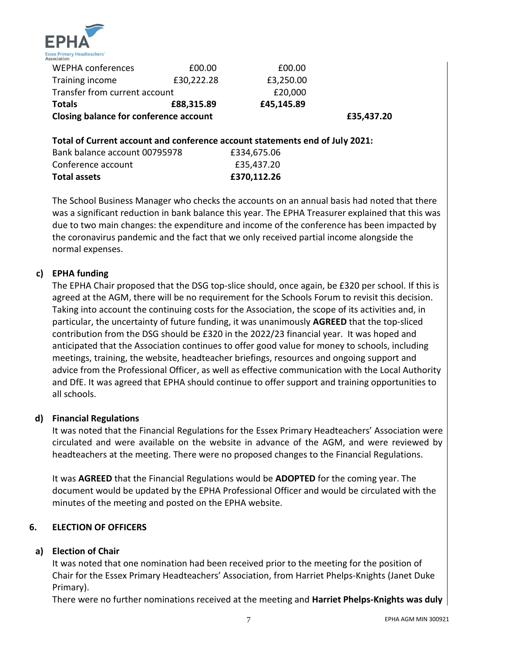

| <b>WEPHA conferences</b>               | £00.00     | £00.00     |  |
|----------------------------------------|------------|------------|--|
| Training income                        | £30,222.28 | £3,250.00  |  |
| Transfer from current account          |            | £20,000    |  |
| <b>Totals</b>                          | £88,315.89 | £45,145.89 |  |
| Closing balance for conference account | £35,437.20 |            |  |

### **Total of Current account and conference account statements end of July 2021:**

| Total assets                  | £370,112.26 |
|-------------------------------|-------------|
| Conference account            | £35,437.20  |
| Bank balance account 00795978 | £334,675.06 |

The School Business Manager who checks the accounts on an annual basis had noted that there was a significant reduction in bank balance this year. The EPHA Treasurer explained that this was due to two main changes: the expenditure and income of the conference has been impacted by the coronavirus pandemic and the fact that we only received partial income alongside the normal expenses.

### **c) EPHA funding**

The EPHA Chair proposed that the DSG top-slice should, once again, be £320 per school. If this is agreed at the AGM, there will be no requirement for the Schools Forum to revisit this decision. Taking into account the continuing costs for the Association, the scope of its activities and, in particular, the uncertainty of future funding, it was unanimously **AGREED** that the top-sliced contribution from the DSG should be £320 in the 2022/23 financial year. It was hoped and anticipated that the Association continues to offer good value for money to schools, including meetings, training, the website, headteacher briefings, resources and ongoing support and advice from the Professional Officer, as well as effective communication with the Local Authority and DfE. It was agreed that EPHA should continue to offer support and training opportunities to all schools.

#### **d) Financial Regulations**

It was noted that the Financial Regulations for the Essex Primary Headteachers' Association were circulated and were available on the website in advance of the AGM, and were reviewed by headteachers at the meeting. There were no proposed changes to the Financial Regulations.

It was **AGREED** that the Financial Regulations would be **ADOPTED** for the coming year. The document would be updated by the EPHA Professional Officer and would be circulated with the minutes of the meeting and posted on the EPHA website.

#### **6. ELECTION OF OFFICERS**

# **a) Election of Chair**

It was noted that one nomination had been received prior to the meeting for the position of Chair for the Essex Primary Headteachers' Association, from Harriet Phelps-Knights (Janet Duke Primary).

There were no further nominations received at the meeting and **Harriet Phelps-Knights was duly**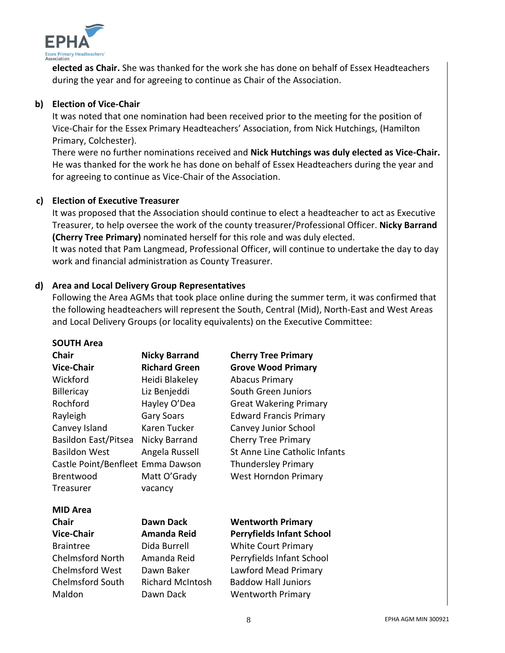

**elected as Chair.** She was thanked for the work she has done on behalf of Essex Headteachers during the year and for agreeing to continue as Chair of the Association.

# **b) Election of Vice-Chair**

It was noted that one nomination had been received prior to the meeting for the position of Vice-Chair for the Essex Primary Headteachers' Association, from Nick Hutchings, (Hamilton Primary, Colchester).

There were no further nominations received and **Nick Hutchings was duly elected as Vice-Chair.** He was thanked for the work he has done on behalf of Essex Headteachers during the year and for agreeing to continue as Vice-Chair of the Association.

# **c) Election of Executive Treasurer**

It was proposed that the Association should continue to elect a headteacher to act as Executive Treasurer, to help oversee the work of the county treasurer/Professional Officer. **Nicky Barrand (Cherry Tree Primary)** nominated herself for this role and was duly elected.

It was noted that Pam Langmead, Professional Officer, will continue to undertake the day to day work and financial administration as County Treasurer.

#### **d) Area and Local Delivery Group Representatives**

Following the Area AGMs that took place online during the summer term, it was confirmed that the following headteachers will represent the South, Central (Mid), North-East and West Areas and Local Delivery Groups (or locality equivalents) on the Executive Committee:

#### **SOUTH Area**

| <b>Chair</b>                      | <b>Nicky Barrand</b>    | <b>Cherry Tree Primary</b>       |
|-----------------------------------|-------------------------|----------------------------------|
| <b>Vice-Chair</b>                 | <b>Richard Green</b>    | <b>Grove Wood Primary</b>        |
| Wickford                          | Heidi Blakeley          | <b>Abacus Primary</b>            |
| <b>Billericay</b>                 | Liz Benjeddi            | South Green Juniors              |
| Rochford                          | Hayley O'Dea            | <b>Great Wakering Primary</b>    |
| Rayleigh                          | <b>Gary Soars</b>       | <b>Edward Francis Primary</b>    |
| Canvey Island                     | Karen Tucker            | Canvey Junior School             |
| Basildon East/Pitsea              | Nicky Barrand           | <b>Cherry Tree Primary</b>       |
| <b>Basildon West</b>              | Angela Russell          | St Anne Line Catholic Infants    |
| Castle Point/Benfleet Emma Dawson |                         | <b>Thundersley Primary</b>       |
| <b>Brentwood</b>                  | Matt O'Grady            | <b>West Horndon Primary</b>      |
| Treasurer                         | vacancy                 |                                  |
| <b>MID Area</b>                   |                         |                                  |
| <b>Chair</b>                      | Dawn Dack               | <b>Wentworth Primary</b>         |
| <b>Vice-Chair</b>                 | Amanda Reid             | <b>Perryfields Infant School</b> |
| <b>Braintree</b>                  | Dida Burrell            | <b>White Court Primary</b>       |
| <b>Chelmsford North</b>           | Amanda Reid             | Perryfields Infant School        |
| <b>Chelmsford West</b>            | Dawn Baker              | Lawford Mead Primary             |
| <b>Chelmsford South</b>           | <b>Richard McIntosh</b> | <b>Baddow Hall Juniors</b>       |
| Maldon                            | Dawn Dack               | <b>Wentworth Primary</b>         |
|                                   |                         |                                  |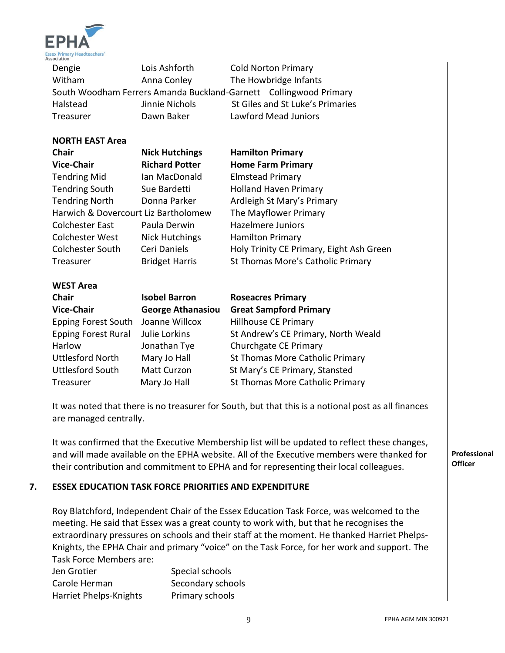

Dengie **Lois Ashforth** Cold Norton Primary Witham **Anna Conley** The Howbridge Infants South Woodham Ferrers Amanda Buckland-Garnett Collingwood Primary Halstead Jinnie Nichols St Giles and St Luke's Primaries Treasurer Dawn Baker Lawford Mead Juniors

#### **NORTH EAST Area**

| Chair                                | <b>Nick Hutchings</b>    | <b>Hamilton Primary</b>                  |  |
|--------------------------------------|--------------------------|------------------------------------------|--|
| <b>Vice-Chair</b>                    | <b>Richard Potter</b>    | <b>Home Farm Primary</b>                 |  |
| <b>Tendring Mid</b>                  | Ian MacDonald            | <b>Elmstead Primary</b>                  |  |
| <b>Tendring South</b>                | Sue Bardetti             | <b>Holland Haven Primary</b>             |  |
| <b>Tendring North</b>                | Donna Parker             | Ardleigh St Mary's Primary               |  |
| Harwich & Dovercourt Liz Bartholomew |                          | The Mayflower Primary                    |  |
| <b>Colchester East</b>               | Paula Derwin             | Hazelmere Juniors                        |  |
| Colchester West                      | <b>Nick Hutchings</b>    | <b>Hamilton Primary</b>                  |  |
| <b>Colchester South</b>              | Ceri Daniels             | Holy Trinity CE Primary, Eight Ash Green |  |
| Treasurer                            | <b>Bridget Harris</b>    | St Thomas More's Catholic Primary        |  |
| <b>WEST Area</b>                     |                          |                                          |  |
| <b>Chair</b>                         | <b>Isobel Barron</b>     | <b>Roseacres Primary</b>                 |  |
| <b>Vice-Chair</b>                    | <b>George Athanasiou</b> | <b>Great Sampford Primary</b>            |  |
| <b>Epping Forest South</b>           | Joanne Willcox           | Hillhouse CE Primary                     |  |
| <b>Epping Forest Rural</b>           | Julie Lorkins            | St Andrew's CE Primary, North Weald      |  |
| Harlow                               | Jonathan Tye             | Churchgate CE Primary                    |  |
| <b>Uttlesford North</b>              | Mary Jo Hall             | St Thomas More Catholic Primary          |  |
| <b>Uttlesford South</b>              | Matt Curzon              | St Mary's CE Primary, Stansted           |  |

It was noted that there is no treasurer for South, but that this is a notional post as all finances are managed centrally.

Treasurer **Mary Jo Hall** St Thomas More Catholic Primary

It was confirmed that the Executive Membership list will be updated to reflect these changes, and will made available on the EPHA website. All of the Executive members were thanked for their contribution and commitment to EPHA and for representing their local colleagues.

#### **7. ESSEX EDUCATION TASK FORCE PRIORITIES AND EXPENDITURE**

Roy Blatchford, Independent Chair of the Essex Education Task Force, was welcomed to the meeting. He said that Essex was a great county to work with, but that he recognises the extraordinary pressures on schools and their staff at the moment. He thanked Harriet Phelps-Knights, the EPHA Chair and primary "voice" on the Task Force, for her work and support. The Task Force Members are:

| Jen Grotier            | Special schools   |
|------------------------|-------------------|
| Carole Herman          | Secondary schools |
| Harriet Phelps-Knights | Primary schools   |

**Professional Officer**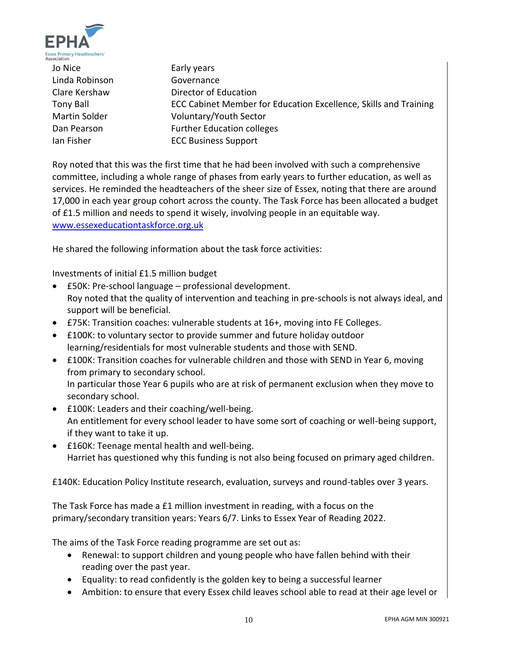

Jo Nice **Early years** Linda Robinson Governance Clare Kershaw Director of Education Tony Ball ECC Cabinet Member for Education Excellence, Skills and Training Martin Solder **Voluntary/Youth Sector** Dan Pearson Further Education colleges Ian Fisher ECC Business Support

Roy noted that this was the first time that he had been involved with such a comprehensive committee, including a whole range of phases from early years to further education, as well as services. He reminded the headteachers of the sheer size of Essex, noting that there are around 17,000 in each year group cohort across the county. The Task Force has been allocated a budget of £1.5 million and needs to spend it wisely, involving people in an equitable way. [www.essexeducationtaskforce.org.uk](http://www.essexeducationtaskforce.org.uk/)

He shared the following information about the task force activities:

Investments of initial £1.5 million budget

- £50K: Pre-school language professional development. Roy noted that the quality of intervention and teaching in pre-schools is not always ideal, and support will be beneficial.
- £75K: Transition coaches: vulnerable students at 16+, moving into FE Colleges.
- £100K: to voluntary sector to provide summer and future holiday outdoor learning/residentials for most vulnerable students and those with SEND.
- £100K: Transition coaches for vulnerable children and those with SEND in Year 6, moving from primary to secondary school. In particular those Year 6 pupils who are at risk of permanent exclusion when they move to secondary school.
- £100K: Leaders and their coaching/well-being. An entitlement for every school leader to have some sort of coaching or well-being support, if they want to take it up.
- £160K: Teenage mental health and well-being. Harriet has questioned why this funding is not also being focused on primary aged children.

£140K: Education Policy Institute research, evaluation, surveys and round-tables over 3 years.

The Task Force has made a £1 million investment in reading, with a focus on the primary/secondary transition years: Years 6/7. Links to Essex Year of Reading 2022.

The aims of the Task Force reading programme are set out as:

- Renewal: to support children and young people who have fallen behind with their reading over the past year.
- Equality: to read confidently is the golden key to being a successful learner
- Ambition: to ensure that every Essex child leaves school able to read at their age level or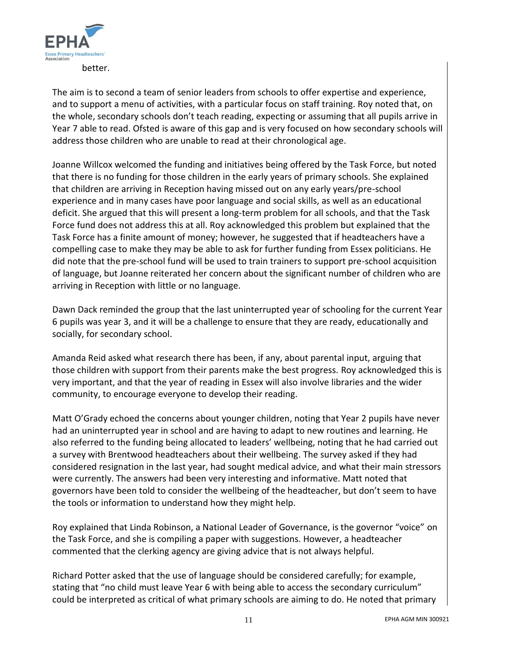

The aim is to second a team of senior leaders from schools to offer expertise and experience, and to support a menu of activities, with a particular focus on staff training. Roy noted that, on the whole, secondary schools don't teach reading, expecting or assuming that all pupils arrive in Year 7 able to read. Ofsted is aware of this gap and is very focused on how secondary schools will address those children who are unable to read at their chronological age.

Joanne Willcox welcomed the funding and initiatives being offered by the Task Force, but noted that there is no funding for those children in the early years of primary schools. She explained that children are arriving in Reception having missed out on any early years/pre-school experience and in many cases have poor language and social skills, as well as an educational deficit. She argued that this will present a long-term problem for all schools, and that the Task Force fund does not address this at all. Roy acknowledged this problem but explained that the Task Force has a finite amount of money; however, he suggested that if headteachers have a compelling case to make they may be able to ask for further funding from Essex politicians. He did note that the pre-school fund will be used to train trainers to support pre-school acquisition of language, but Joanne reiterated her concern about the significant number of children who are arriving in Reception with little or no language.

Dawn Dack reminded the group that the last uninterrupted year of schooling for the current Year 6 pupils was year 3, and it will be a challenge to ensure that they are ready, educationally and socially, for secondary school.

Amanda Reid asked what research there has been, if any, about parental input, arguing that those children with support from their parents make the best progress. Roy acknowledged this is very important, and that the year of reading in Essex will also involve libraries and the wider community, to encourage everyone to develop their reading.

Matt O'Grady echoed the concerns about younger children, noting that Year 2 pupils have never had an uninterrupted year in school and are having to adapt to new routines and learning. He also referred to the funding being allocated to leaders' wellbeing, noting that he had carried out a survey with Brentwood headteachers about their wellbeing. The survey asked if they had considered resignation in the last year, had sought medical advice, and what their main stressors were currently. The answers had been very interesting and informative. Matt noted that governors have been told to consider the wellbeing of the headteacher, but don't seem to have the tools or information to understand how they might help.

Roy explained that Linda Robinson, a National Leader of Governance, is the governor "voice" on the Task Force, and she is compiling a paper with suggestions. However, a headteacher commented that the clerking agency are giving advice that is not always helpful.

Richard Potter asked that the use of language should be considered carefully; for example, stating that "no child must leave Year 6 with being able to access the secondary curriculum" could be interpreted as critical of what primary schools are aiming to do. He noted that primary